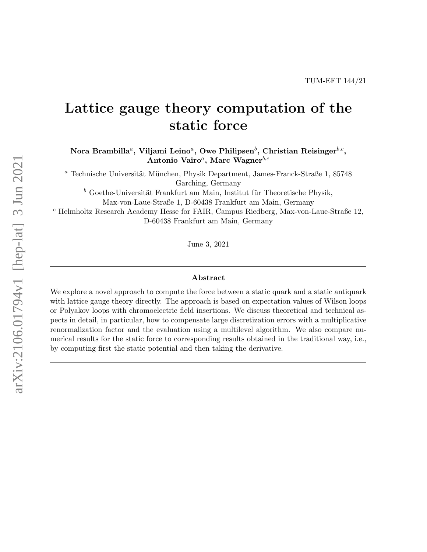# Lattice gauge theory computation of the static force

Nora Brambilla ${}^a,$  Viljami Leino ${}^a,$  Owe Philipsen ${}^b,$  Christian Reisinger ${}^{b,c},$ Antonio Vairo<sup>a</sup>, Marc Wagner $^{b,c}$ 

 $a$  Technische Universität München, Physik Department, James-Franck-Straße 1, 85748 Garching, Germany

 $^b$  Goethe-Universität Frankfurt am Main, Institut für Theoretische Physik,

Max-von-Laue-Straße 1, D-60438 Frankfurt am Main, Germany

<sup>c</sup> Helmholtz Research Academy Hesse for FAIR, Campus Riedberg, Max-von-Laue-Straße 12, D-60438 Frankfurt am Main, Germany

June 3, 2021

#### Abstract

We explore a novel approach to compute the force between a static quark and a static antiquark with lattice gauge theory directly. The approach is based on expectation values of Wilson loops or Polyakov loops with chromoelectric field insertions. We discuss theoretical and technical aspects in detail, in particular, how to compensate large discretization errors with a multiplicative renormalization factor and the evaluation using a multilevel algorithm. We also compare numerical results for the static force to corresponding results obtained in the traditional way, i.e., by computing first the static potential and then taking the derivative.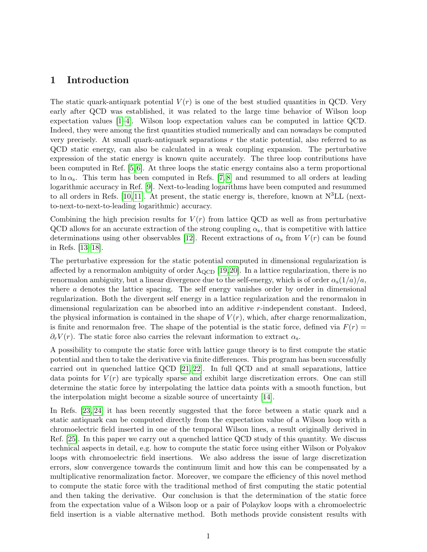# 1 Introduction

The static quark-antiquark potential  $V(r)$  is one of the best studied quantities in QCD. Very early after QCD was established, it was related to the large time behavior of Wilson loop expectation values [\[1–](#page-17-0)[4\]](#page-17-1). Wilson loop expectation values can be computed in lattice QCD. Indeed, they were among the first quantities studied numerically and can nowadays be computed very precisely. At small quark-antiquark separations  $r$  the static potential, also referred to as QCD static energy, can also be calculated in a weak coupling expansion. The perturbative expression of the static energy is known quite accurately. The three loop contributions have been computed in Ref. [\[5,](#page-17-2) [6\]](#page-17-3). At three loops the static energy contains also a term proportional to  $\ln \alpha_s$ . This term has been computed in Refs. [\[7,](#page-17-4) [8\]](#page-18-0) and resummed to all orders at leading logarithmic accuracy in Ref. [\[9\]](#page-18-1). Next-to-leading logarithms have been computed and resummed to all orders in Refs. [\[10,](#page-18-2) [11\]](#page-18-3). At present, the static energy is, therefore, known at  $N^3LL$  (nextto-next-to-next-to-leading logarithmic) accuracy.

Combining the high precision results for  $V(r)$  from lattice QCD as well as from perturbative QCD allows for an accurate extraction of the strong coupling  $\alpha_s$ , that is competitive with lattice determinations using other observables [\[12\]](#page-19-0). Recent extractions of  $\alpha_s$  from  $V(r)$  can be found in Refs. [\[13](#page-19-1)[–18\]](#page-19-2).

The perturbative expression for the static potential computed in dimensional regularization is affected by a renormalon ambiguity of order  $\Lambda_{\text{QCD}}$  [\[19,](#page-19-3)[20\]](#page-19-4). In a lattice regularization, there is no renormalon ambiguity, but a linear divergence due to the self-energy, which is of order  $\alpha_s(1/a)/a$ , where a denotes the lattice spacing. The self energy vanishes order by order in dimensional regularization. Both the divergent self energy in a lattice regularization and the renormalon in dimensional regularization can be absorbed into an additive r-independent constant. Indeed, the physical information is contained in the shape of  $V(r)$ , which, after charge renormalization, is finite and renormalon free. The shape of the potential is the static force, defined via  $F(r)$  $\partial_r V(r)$ . The static force also carries the relevant information to extract  $\alpha_s$ .

A possibility to compute the static force with lattice gauge theory is to first compute the static potential and then to take the derivative via finite differences. This program has been successfully carried out in quenched lattice QCD [\[21,](#page-19-5) [22\]](#page-19-6). In full QCD and at small separations, lattice data points for  $V(r)$  are typically sparse and exhibit large discretization errors. One can still determine the static force by interpolating the lattice data points with a smooth function, but the interpolation might become a sizable source of uncertainty [\[14\]](#page-19-7).

In Refs. [\[23,](#page-19-8) [24\]](#page-19-9) it has been recently suggested that the force between a static quark and a static antiquark can be computed directly from the expectation value of a Wilson loop with a chromoelectric field inserted in one of the temporal Wilson lines, a result originally derived in Ref. [\[25\]](#page-19-10). In this paper we carry out a quenched lattice QCD study of this quantity. We discuss technical aspects in detail, e.g. how to compute the static force using either Wilson or Polyakov loops with chromoelectric field insertions. We also address the issue of large discretization errors, slow convergence towards the continuum limit and how this can be compensated by a multiplicative renormalization factor. Moreover, we compare the efficiency of this novel method to compute the static force with the traditional method of first computing the static potential and then taking the derivative. Our conclusion is that the determination of the static force from the expectation value of a Wilson loop or a pair of Polaykov loops with a chromoelectric field insertion is a viable alternative method. Both methods provide consistent results with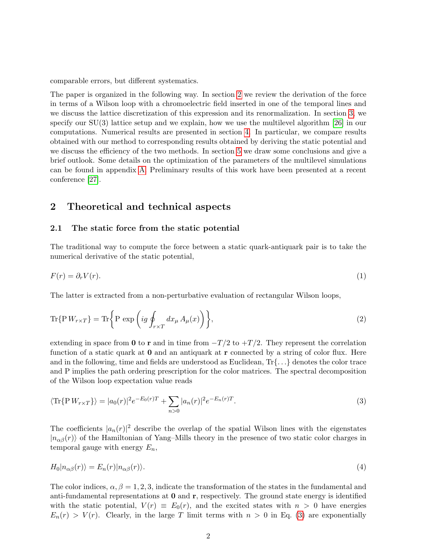comparable errors, but different systematics.

The paper is organized in the following way. In section [2](#page-2-0) we review the derivation of the force in terms of a Wilson loop with a chromoelectric field inserted in one of the temporal lines and we discuss the lattice discretization of this expression and its renormalization. In section [3,](#page-8-0) we specify our  $SU(3)$  lattice setup and we explain, how we use the multilevel algorithm [\[26\]](#page-19-11) in our computations. Numerical results are presented in section [4.](#page-11-0) In particular, we compare results obtained with our method to corresponding results obtained by deriving the static potential and we discuss the efficiency of the two methods. In section [5](#page-16-0) we draw some conclusions and give a brief outlook. Some details on the optimization of the parameters of the multilevel simulations can be found in appendix [A.](#page-17-5) Preliminary results of this work have been presented at a recent conference [\[27\]](#page-19-12).

# <span id="page-2-0"></span>2 Theoretical and technical aspects

#### <span id="page-2-2"></span>2.1 The static force from the static potential

The traditional way to compute the force between a static quark-antiquark pair is to take the numerical derivative of the static potential,

$$
F(r) = \partial_r V(r). \tag{1}
$$

The latter is extracted from a non-perturbative evaluation of rectangular Wilson loops,

$$
\text{Tr}\{\mathbf{P}W_{r\times T}\} = \text{Tr}\left\{\mathbf{P}\exp\left(ig\oint_{r\times T} dx_{\mu} A_{\mu}(x)\right)\right\},\tag{2}
$$

extending in space from 0 to r and in time from  $-T/2$  to  $+T/2$ . They represent the correlation function of a static quark at  $\bf{0}$  and an antiquark at  $\bf{r}$  connected by a string of color flux. Here and in the following, time and fields are understood as Euclidean,  $Tr\{... \}$  denotes the color trace and P implies the path ordering prescription for the color matrices. The spectral decomposition of the Wilson loop expectation value reads

<span id="page-2-1"></span>
$$
\langle \text{Tr}\{\mathbf{P}\,W_{r\times T}\}\rangle = |a_0(r)|^2 e^{-E_0(r)T} + \sum_{n>0} |a_n(r)|^2 e^{-E_n(r)T}.\tag{3}
$$

The coefficients  $|a_n(r)|^2$  describe the overlap of the spatial Wilson lines with the eigenstates  $|n_{\alpha\beta}(r)\rangle$  of the Hamiltonian of Yang–Mills theory in the presence of two static color charges in temporal gauge with energy  $E_n$ ,

$$
H_0|n_{\alpha\beta}(r)\rangle = E_n(r)|n_{\alpha\beta}(r)\rangle.
$$
\n(4)

The color indices,  $\alpha, \beta = 1, 2, 3$ , indicate the transformation of the states in the fundamental and anti-fundamental representations at 0 and r, respectively. The ground state energy is identified with the static potential,  $V(r) \equiv E_0(r)$ , and the excited states with  $n > 0$  have energies  $E_n(r) > V(r)$ . Clearly, in the large T limit terms with  $n > 0$  in Eq. [\(3\)](#page-2-1) are exponentially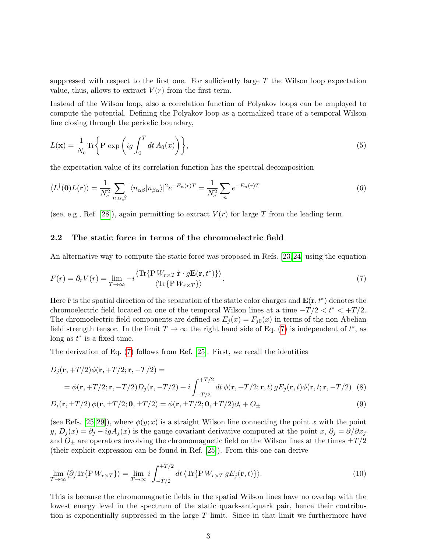suppressed with respect to the first one. For sufficiently large  $T$  the Wilson loop expectation value, thus, allows to extract  $V(r)$  from the first term.

Instead of the Wilson loop, also a correlation function of Polyakov loops can be employed to compute the potential. Defining the Polyakov loop as a normalized trace of a temporal Wilson line closing through the periodic boundary,

$$
L(\mathbf{x}) = \frac{1}{N_c} \text{Tr} \left\{ \text{P} \exp \left( ig \int_0^T dt \, A_0(x) \right) \right\},\tag{5}
$$

the expectation value of its correlation function has the spectral decomposition

<span id="page-3-2"></span>
$$
\langle L^{\dagger}(\mathbf{0})L(\mathbf{r})\rangle = \frac{1}{N_c^2} \sum_{n,\alpha,\beta} |\langle n_{\alpha\beta} | n_{\beta\alpha} \rangle|^2 e^{-E_n(r)T} = \frac{1}{N_c^2} \sum_n e^{-E_n(r)T}
$$
(6)

(see, e.g., Ref. [\[28\]](#page-20-0)), again permitting to extract  $V(r)$  for large T from the leading term.

#### <span id="page-3-3"></span>2.2 The static force in terms of the chromoelectric field

An alternative way to compute the static force was proposed in Refs. [\[23,](#page-19-8) [24\]](#page-19-9) using the equation

<span id="page-3-0"></span>
$$
F(r) = \partial_r V(r) = \lim_{T \to \infty} -i \frac{\langle \text{Tr}\{\text{P} \, W_{r \times T} \, \hat{\mathbf{r}} \cdot g \mathbf{E}(\mathbf{r}, t^*)\} \rangle}{\langle \text{Tr}\{\text{P} \, W_{r \times T}\} \rangle}.
$$

Here  $\hat{\mathbf{r}}$  is the spatial direction of the separation of the static color charges and  $\mathbf{E}(\mathbf{r}, t^*)$  denotes the chromoelectric field located on one of the temporal Wilson lines at a time  $-T/2 < t^* < +T/2$ . The chromoelectric field components are defined as  $E_j(x) = F_{j0}(x)$  in terms of the non-Abelian field strength tensor. In the limit  $T \to \infty$  the right hand side of Eq. [\(7\)](#page-3-0) is independent of  $t^*$ , as long as  $t^*$  is a fixed time.

The derivation of Eq. [\(7\)](#page-3-0) follows from Ref. [\[25\]](#page-19-10). First, we recall the identities

$$
D_j(\mathbf{r}, +T/2)\phi(\mathbf{r}, +T/2; \mathbf{r}, -T/2) =
$$
  
=  $\phi(\mathbf{r}, +T/2; \mathbf{r}, -T/2)D_j(\mathbf{r}, -T/2) + i \int_{-T/2}^{+T/2} dt \phi(\mathbf{r}, +T/2; \mathbf{r}, t) gE_j(\mathbf{r}, t)\phi(\mathbf{r}, t; \mathbf{r}, -T/2)$  (8)

$$
D_i(\mathbf{r}, \pm T/2) \phi(\mathbf{r}, \pm T/2; \mathbf{0}, \pm T/2) = \phi(\mathbf{r}, \pm T/2; \mathbf{0}, \pm T/2)\partial_i + O_{\pm}
$$
\n
$$
(9)
$$

(see Refs. [\[25,](#page-19-10) [29\]](#page-20-1)), where  $\phi(y; x)$  is a straight Wilson line connecting the point x with the point y,  $D_j(x) = \partial_j - igA_j(x)$  is the gauge covariant derivative computed at the point  $x, \partial_j = \partial/\partial x_j$ and  $O_{\pm}$  are operators involving the chromomagnetic field on the Wilson lines at the times  $\pm T/2$ (their explicit expression can be found in Ref. [\[25\]](#page-19-10)). From this one can derive

<span id="page-3-1"></span>
$$
\lim_{T \to \infty} \langle \partial_j \text{Tr} \{ P W_{r \times T} \} \rangle = \lim_{T \to \infty} i \int_{-T/2}^{+T/2} dt \, \langle \text{Tr} \{ P W_{r \times T} g E_j(\mathbf{r}, t) \} \rangle. \tag{10}
$$

This is because the chromomagnetic fields in the spatial Wilson lines have no overlap with the lowest energy level in the spectrum of the static quark-antiquark pair, hence their contribution is exponentially suppressed in the large  $T$  limit. Since in that limit we furthermore have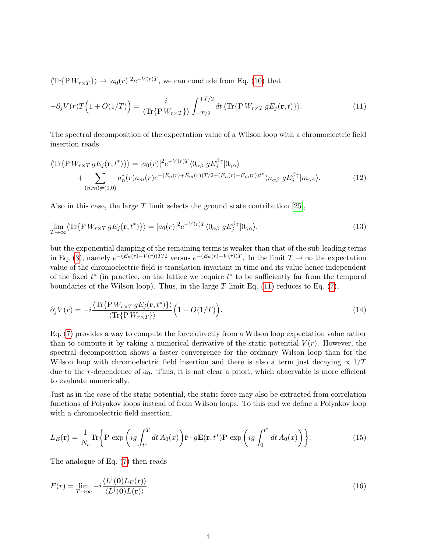$\langle \text{Tr}\{\text{P} W_{r \times T}\}\rangle \rightarrow |a_0(r)|^2 e^{-V(r)T}$ , we can conclude from Eq. [\(10\)](#page-3-1) that

<span id="page-4-0"></span>
$$
-\partial_j V(r)T\Big(1+O(1/T)\Big) = \frac{i}{\langle \text{Tr}\{\text{P} \, W_{r\times T}\}\rangle} \int_{-T/2}^{+T/2} dt \, \langle \text{Tr}\{\text{P} \, W_{r\times T} \, gE_j(\mathbf{r},t)\}\rangle. \tag{11}
$$

The spectral decomposition of the expectation value of a Wilson loop with a chromoelectric field insertion reads

<span id="page-4-2"></span>
$$
\langle \text{Tr}\{\mathbf{P} W_{r \times T} g E_j(\mathbf{r}, t^*)\} \rangle = |a_0(r)|^2 e^{-V(r)T} \langle 0_{\alpha\beta} | g E_j^{\beta\gamma} | 0_{\gamma\alpha} \rangle + \sum_{(n,m) \neq (0,0)} a_n^*(r) a_m(r) e^{-(E_n(r) + E_m(r))T/2 + (E_n(r) - E_m(r))t^*} \langle n_{\alpha\beta} | g E_j^{\beta\gamma} | m_{\gamma\alpha} \rangle.
$$
 (12)

Also in this case, the large  $T$  limit selects the ground state contribution [\[25\]](#page-19-10),

$$
\lim_{T \to \infty} \langle \text{Tr} \{ P W_{r \times T} g E_j(\mathbf{r}, t^*) \} \rangle = |a_0(r)|^2 e^{-V(r)T} \langle 0_{\alpha \beta} | g E_j^{\beta \gamma} | 0_{\gamma \alpha} \rangle, \tag{13}
$$

but the exponential damping of the remaining terms is weaker than that of the sub-leading terms in Eq. [\(3\)](#page-2-1), namely  $e^{-(E_n(r)-V(r))T/2}$  versus  $e^{-(E_n(r)-V(r))T}$ . In the limit  $T \to \infty$  the expectation value of the chromoelectric field is translation-invariant in time and its value hence independent of the fixed  $t^*$  (in practice, on the lattice we require  $t^*$  to be sufficiently far from the temporal boundaries of the Wilson loop). Thus, in the large T limit Eq.  $(11)$  reduces to Eq.  $(7)$ ,

<span id="page-4-1"></span>
$$
\partial_j V(r) = -i \frac{\langle \text{Tr}\{\text{P} \, W_{r \times T} \, gE_j(\mathbf{r}, t^*)\} \rangle}{\langle \text{Tr}\{\text{P} \, W_{r \times T}\} \rangle} \Big(1 + O(1/T)\Big). \tag{14}
$$

Eq. [\(7\)](#page-3-0) provides a way to compute the force directly from a Wilson loop expectation value rather than to compute it by taking a numerical derivative of the static potential  $V(r)$ . However, the spectral decomposition shows a faster convergence for the ordinary Wilson loop than for the Wilson loop with chromoelectric field insertion and there is also a term just decaying  $\propto 1/T$ due to the r-dependence of  $a_0$ . Thus, it is not clear a priori, which observable is more efficient to evaluate numerically.

Just as in the case of the static potential, the static force may also be extracted from correlation functions of Polyakov loops instead of from Wilson loops. To this end we define a Polyakov loop with a chromoelectric field insertion,

$$
L_E(\mathbf{r}) = \frac{1}{N_c} \text{Tr} \left\{ \text{P} \exp \left( ig \int_{t^*}^T dt \, A_0(x) \right) \hat{\mathbf{r}} \cdot g \mathbf{E}(\mathbf{r}, t^*) \text{P} \exp \left( ig \int_0^{t^*} dt \, A_0(x) \right) \right\}.
$$
 (15)

The analogue of Eq. [\(7\)](#page-3-0) then reads

$$
F(r) = \lim_{T \to \infty} -i \frac{\langle L^{\dagger}(\mathbf{0})L_{E}(\mathbf{r}) \rangle}{\langle L^{\dagger}(\mathbf{0})L(\mathbf{r}) \rangle}.
$$
\n(16)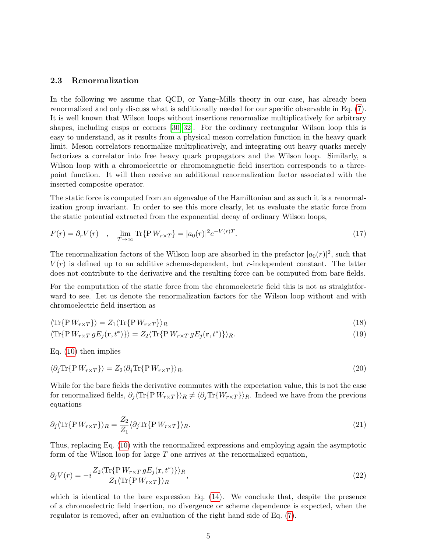#### 2.3 Renormalization

In the following we assume that QCD, or Yang–Mills theory in our case, has already been renormalized and only discuss what is additionally needed for our specific observable in Eq. [\(7\)](#page-3-0). It is well known that Wilson loops without insertions renormalize multiplicatively for arbitrary shapes, including cusps or corners [\[30–](#page-20-2)[32\]](#page-20-3). For the ordinary rectangular Wilson loop this is easy to understand, as it results from a physical meson correlation function in the heavy quark limit. Meson correlators renormalize multiplicatively, and integrating out heavy quarks merely factorizes a correlator into free heavy quark propagators and the Wilson loop. Similarly, a Wilson loop with a chromoelectric or chromomagnetic field insertion corresponds to a threepoint function. It will then receive an additional renormalization factor associated with the inserted composite operator.

The static force is computed from an eigenvalue of the Hamiltonian and as such it is a renormalization group invariant. In order to see this more clearly, let us evaluate the static force from the static potential extracted from the exponential decay of ordinary Wilson loops,

$$
F(r) = \partial_r V(r) \quad , \quad \lim_{T \to \infty} \text{Tr}\{\mathbf{P} \, W_{r \times T}\} = |a_0(r)|^2 e^{-V(r)T}.\tag{17}
$$

The renormalization factors of the Wilson loop are absorbed in the prefactor  $|a_0(r)|^2$ , such that  $V(r)$  is defined up to an additive scheme-dependent, but r-independent constant. The latter does not contribute to the derivative and the resulting force can be computed from bare fields.

For the computation of the static force from the chromoelectric field this is not as straightforward to see. Let us denote the renormalization factors for the Wilson loop without and with chromoelectric field insertion as

$$
\langle \text{Tr}\{\text{P} \, W_{r \times T}\} \rangle = Z_1 \langle \text{Tr}\{\text{P} \, W_{r \times T}\} \rangle_R \tag{18}
$$

$$
\langle \text{Tr}\{\mathbf{P}\,W_{r\times T}\,gE_j(\mathbf{r},t^*)\}\rangle = Z_2 \langle \text{Tr}\{\mathbf{P}\,W_{r\times T}\,gE_j(\mathbf{r},t^*)\}\rangle_R. \tag{19}
$$

Eq. [\(10\)](#page-3-1) then implies

$$
\langle \partial_j \text{Tr} \{ P \, W_{r \times T} \} \rangle = Z_2 \langle \partial_j \text{Tr} \{ P \, W_{r \times T} \} \rangle_R. \tag{20}
$$

While for the bare fields the derivative commutes with the expectation value, this is not the case for renormalized fields,  $\partial_j \langle \text{Tr}\{\text{P} W_{r \times T}\}\rangle_R \neq \langle \partial_j \text{Tr}\{W_{r \times T}\}\rangle_R$ . Indeed we have from the previous equations

$$
\partial_j \langle \text{Tr}\{\mathbf{P} \, W_{r \times T}\} \rangle_R = \frac{Z_2}{Z_1} \langle \partial_j \text{Tr}\{\mathbf{P} \, W_{r \times T}\} \rangle_R. \tag{21}
$$

Thus, replacing Eq. [\(10\)](#page-3-1) with the renormalized expressions and employing again the asymptotic form of the Wilson loop for large  $T$  one arrives at the renormalized equation,

$$
\partial_j V(r) = -i \frac{Z_2 \langle \text{Tr}\{\text{P} \, W_{r \times T} \, g E_j(\mathbf{r}, t^*)\} \rangle_R}{Z_1 \langle \text{Tr}\{\text{P} \, W_{r \times T}\} \rangle_R},\tag{22}
$$

which is identical to the bare expression Eq.  $(14)$ . We conclude that, despite the presence of a chromoelectric field insertion, no divergence or scheme dependence is expected, when the regulator is removed, after an evaluation of the right hand side of Eq. [\(7\)](#page-3-0).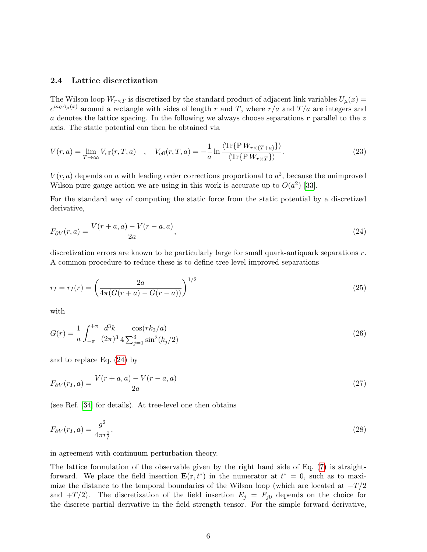#### <span id="page-6-2"></span>2.4 Lattice discretization

The Wilson loop  $W_{r\times T}$  is discretized by the standard product of adjacent link variables  $U_{\mu}(x)$  $e^{iagA_{\mu}(x)}$  around a rectangle with sides of length r and T, where  $r/a$  and  $T/a$  are integers and a denotes the lattice spacing. In the following we always choose separations  $\bf{r}$  parallel to the z axis. The static potential can then be obtained via

<span id="page-6-3"></span>
$$
V(r,a) = \lim_{T \to \infty} V_{\text{eff}}(r,T,a) \quad , \quad V_{\text{eff}}(r,T,a) = -\frac{1}{a} \ln \frac{\langle \text{Tr}\{P W_{r \times (T+a)}\} \rangle}{\langle \text{Tr}\{P W_{r \times T}\} \rangle}. \tag{23}
$$

 $V(r, a)$  depends on a with leading order corrections proportional to  $a<sup>2</sup>$ , because the unimproved Wilson pure gauge action we are using in this work is accurate up to  $O(a^2)$  [\[33\]](#page-20-4).

For the standard way of computing the static force from the static potential by a discretized derivative,

<span id="page-6-0"></span>
$$
F_{\partial V}(r,a) = \frac{V(r+a,a) - V(r-a,a)}{2a},
$$
\n(24)

discretization errors are known to be particularly large for small quark-antiquark separations  $r$ . A common procedure to reduce these is to define tree-level improved separations

<span id="page-6-1"></span>
$$
r_I = r_I(r) = \left(\frac{2a}{4\pi(G(r+a) - G(r-a))}\right)^{1/2} \tag{25}
$$

with

$$
G(r) = \frac{1}{a} \int_{-\pi}^{+\pi} \frac{d^3k}{(2\pi)^3} \frac{\cos(rk_3/a)}{4\sum_{j=1}^3 \sin^2(k_j/2)}\tag{26}
$$

and to replace Eq. [\(24\)](#page-6-0) by

$$
F_{\partial V}(r_I, a) = \frac{V(r + a, a) - V(r - a, a)}{2a} \tag{27}
$$

(see Ref. [\[34\]](#page-20-5) for details). At tree-level one then obtains

$$
F_{\partial V}(r_I, a) = \frac{g^2}{4\pi r_I^2},\tag{28}
$$

in agreement with continuum perturbation theory.

The lattice formulation of the observable given by the right hand side of Eq. [\(7\)](#page-3-0) is straightforward. We place the field insertion  $\mathbf{E}(\mathbf{r}, t^*)$  in the numerator at  $t^* = 0$ , such as to maximize the distance to the temporal boundaries of the Wilson loop (which are located at  $-T/2$ and  $+T/2$ ). The discretization of the field insertion  $E_j = F_{j0}$  depends on the choice for the discrete partial derivative in the field strength tensor. For the simple forward derivative,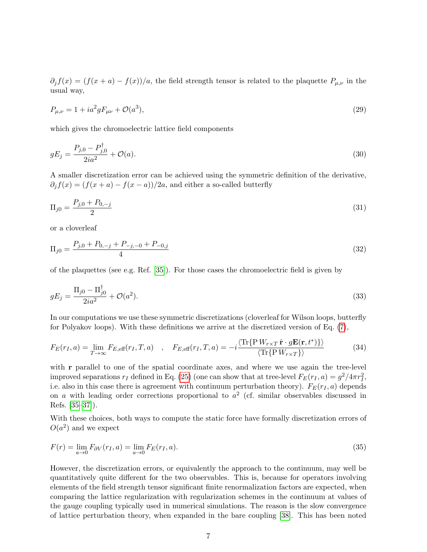$\partial_i f(x) = (f(x+a) - f(x))/a$ , the field strength tensor is related to the plaquette  $P_{\mu,\nu}$  in the usual way,

$$
P_{\mu,\nu} = 1 + ia^2 g F_{\mu\nu} + \mathcal{O}(a^3),\tag{29}
$$

which gives the chromoelectric lattice field components

$$
gE_j = \frac{P_{j,0} - P_{j,0}^{\dagger}}{2ia^2} + \mathcal{O}(a). \tag{30}
$$

A smaller discretization error can be achieved using the symmetric definition of the derivative,  $\partial_i f(x) = (f(x+a) - f(x-a))/2a$ , and either a so-called butterfly

$$
\Pi_{j0} = \frac{P_{j,0} + P_{0,-j}}{2} \tag{31}
$$

or a cloverleaf

<span id="page-7-1"></span>
$$
\Pi_{j0} = \frac{P_{j,0} + P_{0,-j} + P_{-j,-0} + P_{-0,j}}{4} \tag{32}
$$

of the plaquettes (see e.g. Ref. [\[35\]](#page-20-6)). For those cases the chromoelectric field is given by

$$
gE_j = \frac{\Pi_{j0} - \Pi_{j0}^{\dagger}}{2ia^2} + \mathcal{O}(a^2). \tag{33}
$$

<span id="page-7-0"></span>In our computations we use these symmetric discretizations (cloverleaf for Wilson loops, butterfly for Polyakov loops). With these definitions we arrive at the discretized version of Eq. [\(7\)](#page-3-0),

$$
F_E(r_I, a) = \lim_{T \to \infty} F_{E, \text{eff}}(r_I, T, a) \quad , \quad F_{E, \text{eff}}(r_I, T, a) = -i \frac{\langle \text{Tr}\{P W_{r \times T} \hat{\mathbf{r}} \cdot g \mathbf{E}(\mathbf{r}, t^*)\} \rangle}{\langle \text{Tr}\{P W_{r \times T}\} \rangle} \tag{34}
$$

with r parallel to one of the spatial coordinate axes, and where we use again the tree-level improved separations  $r_I$  defined in Eq. [\(25\)](#page-6-1) (one can show that at tree-level  $F_E(r_I, a) = g^2/4\pi r_I^2$ , i.e. also in this case there is agreement with continuum perturbation theory).  $F_E(r_I, a)$  depends on a with leading order corrections proportional to  $a^2$  (cf. similar observables discussed in Refs. [\[35–](#page-20-6)[37\]](#page-20-7)).

With these choices, both ways to compute the static force have formally discretization errors of  $O(a^2)$  and we expect

$$
F(r) = \lim_{a \to 0} F_{\partial V}(r_I, a) = \lim_{a \to 0} F_E(r_I, a).
$$
\n(35)

However, the discretization errors, or equivalently the approach to the continuum, may well be quantitatively quite different for the two observables. This is, because for operators involving elements of the field strength tensor significant finite renormalization factors are expected, when comparing the lattice regularization with regularization schemes in the continuum at values of the gauge coupling typically used in numerical simulations. The reason is the slow convergence of lattice perturbation theory, when expanded in the bare coupling [\[38\]](#page-20-8). This has been noted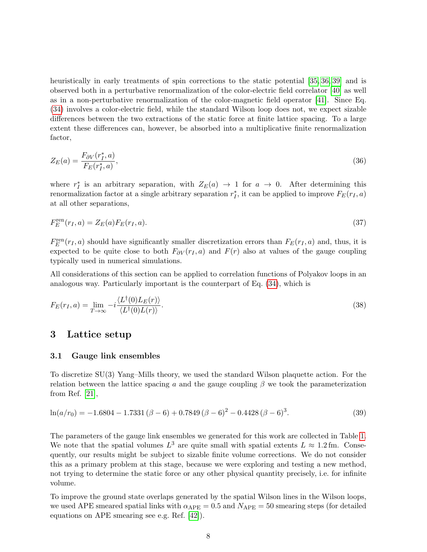heuristically in early treatments of spin corrections to the static potential [\[35,](#page-20-6) [36,](#page-20-9) [39\]](#page-20-10) and is observed both in a perturbative renormalization of the color-electric field correlator [\[40\]](#page-20-11) as well as in a non-perturbative renormalization of the color-magnetic field operator [\[41\]](#page-20-12). Since Eq. [\(34\)](#page-7-0) involves a color-electric field, while the standard Wilson loop does not, we expect sizable differences between the two extractions of the static force at finite lattice spacing. To a large extent these differences can, however, be absorbed into a multiplicative finite renormalization factor,

<span id="page-8-2"></span>
$$
Z_E(a) = \frac{F_{\partial V}(r_I^*, a)}{F_E(r_I^*, a)},\tag{36}
$$

where  $r_I^*$  is an arbitrary separation, with  $Z_E(a) \rightarrow 1$  for  $a \rightarrow 0$ . After determining this renormalization factor at a single arbitrary separation  $r_I^*$ , it can be applied to improve  $F_E(r_I, a)$ at all other separations,

$$
F_E^{\text{ren}}(r_I, a) = Z_E(a) F_E(r_I, a). \tag{37}
$$

 $F_E^{\text{ren}}(r_I, a)$  should have significantly smaller discretization errors than  $F_E(r_I, a)$  and, thus, it is expected to be quite close to both  $F_{\partial V}(r_I, a)$  and  $F(r)$  also at values of the gauge coupling typically used in numerical simulations.

<span id="page-8-1"></span>All considerations of this section can be applied to correlation functions of Polyakov loops in an analogous way. Particularly important is the counterpart of Eq. [\(34\)](#page-7-0), which is

$$
F_E(r_I, a) = \lim_{T \to \infty} -i \frac{\langle L^{\dagger}(0)L_E(r) \rangle}{\langle L^{\dagger}(0)L(r) \rangle}.
$$
\n(38)

## <span id="page-8-0"></span>3 Lattice setup

## 3.1 Gauge link ensembles

To discretize SU(3) Yang–Mills theory, we used the standard Wilson plaquette action. For the relation between the lattice spacing a and the gauge coupling  $\beta$  we took the parameterization from Ref. [\[21\]](#page-19-5),

$$
\ln(a/r_0) = -1.6804 - 1.7331 (\beta - 6) + 0.7849 (\beta - 6)^2 - 0.4428 (\beta - 6)^3.
$$
 (39)

The parameters of the gauge link ensembles we generated for this work are collected in Table [1.](#page-9-0) We note that the spatial volumes  $L^3$  are quite small with spatial extents  $L \approx 1.2$  fm. Consequently, our results might be subject to sizable finite volume corrections. We do not consider this as a primary problem at this stage, because we were exploring and testing a new method, not trying to determine the static force or any other physical quantity precisely, i.e. for infinite volume.

To improve the ground state overlaps generated by the spatial Wilson lines in the Wilson loops, we used APE smeared spatial links with  $\alpha_{\text{APE}} = 0.5$  and  $N_{\text{APE}} = 50$  smearing steps (for detailed equations on APE smearing see e.g. Ref. [\[42\]](#page-20-13)).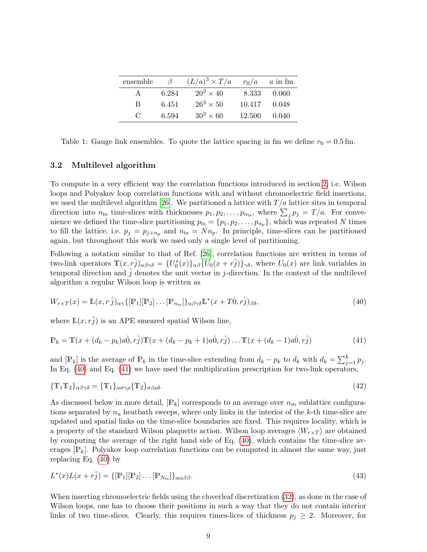| ensemble      | $\beta$ | $(L/a)^3 \times T/a$ |              | $r_0/a$ a in fm |
|---------------|---------|----------------------|--------------|-----------------|
| $\mathsf{A}$  | 6.284   | $20^3 \times 40$     | 8.333        | - 0.060         |
| B             | 6.451   | $26^3 \times 50$     | 10.417 0.048 |                 |
| $\mathcal{C}$ | 6.594   | $30^3 \times 60$     | 12.500       | 0.040           |

<span id="page-9-0"></span>Table 1: Gauge link ensembles. To quote the lattice spacing in fm we define  $r_0 = 0.5$  fm.

## 3.2 Multilevel algorithm

To compute in a very efficient way the correlation functions introduced in section [2,](#page-2-0) i.e. Wilson loops and Polyakov loop correlation functions with and without chromoelectric field insertions, we used the multilevel algorithm [\[26\]](#page-19-11). We partitioned a lattice with  $T/a$  lattice sites in temporal direction into  $n_{ts}$  time-slices with thicknesses  $p_1, p_2, \ldots, p_{n_{ts}}$ , where  $\sum_j p_j = T/a$ . For convenience we defined the time-slice partitioning  $p_{ts} = \{p_1, p_2, \ldots, p_{n_p}\}\$ , which was repeated N times to fill the lattice, i.e.  $p_j = p_{j+n_p}$  and  $n_{ts} = Nn_p$ . In principle, time-slices can be partitioned again, but throughout this work we used only a single level of partitioning.

Following a notation similar to that of Ref. [\[26\]](#page-19-11), correlation functions are written in terms of two-link operators  $\mathbb{T}(x, r\hat{j})_{\alpha\beta\gamma\delta} = \{U_0^*(x)\}_{\alpha\beta} \{U_0(x+r\hat{j})\}_{\gamma\delta}$ , where  $U_0(x)$  are link variables in temporal direction and  $\hat{j}$  denotes the unit vector in j-direction. In the context of the multilevel algorithm a regular Wilson loop is written as

<span id="page-9-1"></span>
$$
W_{r \times T}(x) = \mathbb{L}(x, r\,\hat{j})_{\alpha\gamma} \{ [\mathbb{P}_1][\mathbb{P}_2] \dots [\mathbb{P}_{n_{\text{ts}}}]\}_{\alpha\beta\gamma\delta} \mathbb{L}^*(x + T\hat{0}, r\hat{j})_{\beta\delta},\tag{40}
$$

where  $\mathbb{L}(x, r\hat{j})$  is an APE smeared spatial Wilson line,

<span id="page-9-2"></span>
$$
\mathbb{P}_k = \mathbb{T}(x + (d_k - p_k)a\hat{0}, r\hat{j})\mathbb{T}(x + (d_k - p_k + 1)a\hat{0}, r\hat{j})\dots\mathbb{T}(x + (d_k - 1)a\hat{0}, r\hat{j})
$$
(41)

and  $[\mathbb{P}_k]$  is the average of  $\mathbb{P}_k$  in the time-slice extending from  $d_k - p_k$  to  $d_k$  with  $d_k = \sum_{j=1}^k p_j$ . In Eq.  $(40)$  and Eq.  $(41)$  we have used the multiplication prescription for two-link operators,

$$
\{\mathbf{T}_1 \mathbf{T}_2\}_{\alpha\beta\gamma\delta} = \{\mathbf{T}_1\}_{\alpha\sigma\gamma\rho} \{\mathbf{T}_2\}_{\sigma\beta\rho\delta}.\tag{42}
$$

As discussed below in more detail,  $[\mathbb{P}_k]$  corresponds to an average over  $n_m$  sublattice configurations separated by  $n_u$  heatbath sweeps, where only links in the interior of the k-th time-slice are updated and spatial links on the time-slice boundaries are fixed. This requires locality, which is a property of the standard Wilson plaquette action. Wilson loop averages  $\langle W_{r \times T} \rangle$  are obtained by computing the average of the right hand side of Eq. [\(40\)](#page-9-1), which contains the time-slice averages  $[\mathbb{P}_k]$ . Polyakov loop correlation functions can be computed in almost the same way, just replacing Eq. [\(40\)](#page-9-1) by

<span id="page-9-3"></span>
$$
L^*(x)L(x+r\hat{j}) = \{ [\mathbb{P}_1][\mathbb{P}_2] \dots [\mathbb{P}_{N_{\text{ts}}}]\}_{\alpha\alpha\beta\beta}.
$$
\n(43)

When inserting chromoelectric fields using the cloverleaf discretization [\(32\)](#page-7-1), as done in the case of Wilson loops, one has to choose their positions in such a way that they do not contain interior links of two time-slices. Clearly, this requires times-lices of thickness  $p_j \geq 2$ . Moreover, for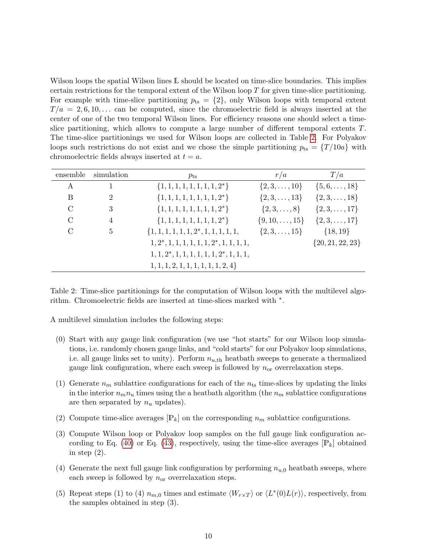Wilson loops the spatial Wilson lines L should be located on time-slice boundaries. This implies certain restrictions for the temporal extent of the Wilson loop T for given time-slice partitioning. For example with time-slice partitioning  $p_{ts} = \{2\}$ , only Wilson loops with temporal extent  $T/a = 2, 6, 10, \ldots$  can be computed, since the chromoelectric field is always inserted at the center of one of the two temporal Wilson lines. For efficiency reasons one should select a timeslice partitioning, which allows to compute a large number of different temporal extents T. The time-slice partitionings we used for Wilson loops are collected in Table [2.](#page-10-0) For Polyakov loops such restrictions do not exist and we chose the simple partitioning  $p_{ts} = \{T/10a\}$  with chromoelectric fields always inserted at  $t = a$ .

<span id="page-10-0"></span>

| ensemble      | simulation     | $p_{\rm ts}$                                 | r/a                     | T/a                  |
|---------------|----------------|----------------------------------------------|-------------------------|----------------------|
| A             |                | $\{1, 1, 1, 1, 1, 1, 1, 1, 2^*\}$            | $\{2,3,\ldots,10\}$     | $\{5,6,\ldots,18\}$  |
| B             | $\overline{2}$ | $\{1, 1, 1, 1, 1, 1, 1, 1, 2^*\}$            | $\{2,3,\ldots,13\}$     | $\{2,3,\ldots,18\}$  |
| $\mathcal{C}$ | 3              | $\{1, 1, 1, 1, 1, 1, 1, 1, 2^*\}$            | $\{2,3,\ldots,8\}$      | $\{2,3,\ldots,17\}$  |
| $\mathcal{C}$ | $\overline{4}$ | $\{1, 1, 1, 1, 1, 1, 1, 1, 2^*\}$            | $\{9, 10, \ldots, 15\}$ | $\{2,3,\ldots,17\}$  |
| $\mathcal{C}$ | 5              | $\{1, 1, 1, 1, 1, 1, 2^*, 1, 1, 1, 1, 1,$    | $\{2,3,\ldots,15\}$     | $\{18, 19\}$         |
|               |                | $1, 2^*, 1, 1, 1, 1, 1, 1, 2^*, 1, 1, 1, 1,$ |                         | $\{20, 21, 22, 23\}$ |
|               |                | $1, 1, 2^*, 1, 1, 1, 1, 1, 1, 2^*, 1, 1, 1,$ |                         |                      |
|               |                | 1, 1, 1, 2, 1, 1, 1, 1, 1, 1, 2, 4           |                         |                      |

Table 2: Time-slice partitionings for the computation of Wilson loops with the multilevel algorithm. Chromoelectric fields are inserted at time-slices marked with ∗ .

A multilevel simulation includes the following steps:

- (0) Start with any gauge link configuration (we use "hot starts" for our Wilson loop simulations, i.e. randomly chosen gauge links, and "cold starts" for our Polyakov loop simulations, i.e. all gauge links set to unity). Perform  $n_{u,th}$  heatbath sweeps to generate a thermalized gauge link configuration, where each sweep is followed by  $n_{\text{or}}$  overrelaxation steps.
- (1) Generate  $n_m$  sublattice configurations for each of the  $n_{ts}$  time-slices by updating the links in the interior  $n_m n_u$  times using the a heatbath algorithm (the  $n_m$  sublattice configurations are then separated by  $n_u$  updates).
- (2) Compute time-slice averages  $[\mathbb{P}_k]$  on the corresponding  $n_m$  sublattice configurations.
- (3) Compute Wilson loop or Polyakov loop samples on the full gauge link configuration ac-cording to Eq. [\(40\)](#page-9-1) or Eq. [\(43\)](#page-9-3), respectively, using the time-slice averages  $[\mathbb{P}_k]$  obtained in step  $(2)$ .
- (4) Generate the next full gauge link configuration by performing  $n_{u,0}$  heatbath sweeps, where each sweep is followed by  $n_{or}$  overrelaxation steps.
- (5) Repeat steps (1) to (4)  $n_{m,0}$  times and estimate  $\langle W_{r \times T} \rangle$  or  $\langle L^*(0)L(r) \rangle$ , respectively, from the samples obtained in step (3).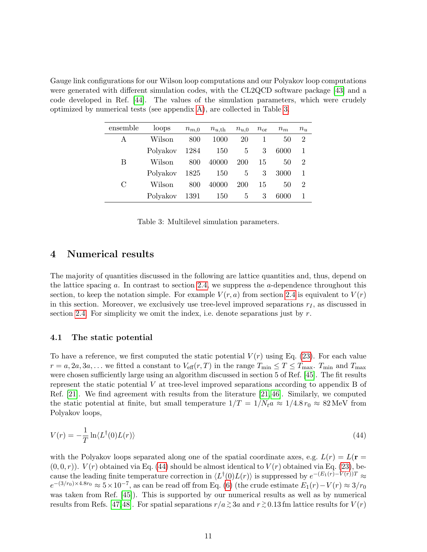<span id="page-11-1"></span>Gauge link configurations for our Wilson loop computations and our Polyakov loop computations were generated with different simulation codes, with the CL2QCD software package [\[43\]](#page-20-14) and a code developed in Ref. [\[44\]](#page-20-15). The values of the simulation parameters, which were crudely optimized by numerical tests (see appendix [A\)](#page-17-5), are collected in Table [3.](#page-11-1)

| ensemble | loops    | $n_{m,0}$ | $n_{u,th}$ | $n_{u,0}$   | $n_{\rm or}$ | $n_m$ | $n_u$ |
|----------|----------|-----------|------------|-------------|--------------|-------|-------|
| А        | Wilson   | 800       | 1000       | 20          |              | 50    | 2     |
|          | Polyakov | 1284      | 150        | 5           | 3            | 6000  |       |
| B        | Wilson   | 800       | 40000      | 200         | 15           | 50    | 2     |
|          | Polyakov | 1825      | 150        | 5           | 3            | 3000  |       |
| С        | Wilson   | 800       | 40000      | 200         | 15           | 50    | 2     |
|          | Polyakov | 1391      | 150        | $5^{\circ}$ | 3            | 6000  |       |

Table 3: Multilevel simulation parameters.

# <span id="page-11-0"></span>4 Numerical results

The majority of quantities discussed in the following are lattice quantities and, thus, depend on the lattice spacing a. In contrast to section [2.4,](#page-6-2) we suppress the a-dependence throughout this section, to keep the notation simple. For example  $V(r, a)$  from section [2.4](#page-6-2) is equivalent to  $V(r)$ in this section. Moreover, we exclusively use tree-level improved separations  $r_I$ , as discussed in section [2.4.](#page-6-2) For simplicity we omit the index, i.e. denote separations just by  $r$ .

## 4.1 The static potential

To have a reference, we first computed the static potential  $V(r)$  using Eq. [\(23\)](#page-6-3). For each value  $r = a, 2a, 3a, \ldots$  we fitted a constant to  $V_{\text{eff}}(r, T)$  in the range  $T_{\text{min}} \le T \le T_{\text{max}}$ .  $T_{\text{min}}$  and  $T_{\text{max}}$ were chosen sufficiently large using an algorithm discussed in section 5 of Ref. [\[45\]](#page-21-0). The fit results represent the static potential V at tree-level improved separations according to appendix B of Ref. [\[21\]](#page-19-5). We find agreement with results from the literature [\[21,](#page-19-5) [46\]](#page-21-1). Similarly, we computed the static potential at finite, but small temperature  $1/T = 1/N_t a \approx 1/4.8 r_0 \approx 82 \text{ MeV}$  from Polyakov loops,

<span id="page-11-2"></span>
$$
V(r) = -\frac{1}{T} \ln \langle L^{\dagger}(0)L(r) \rangle \tag{44}
$$

with the Polyakov loops separated along one of the spatial coordinate axes, e.g.  $L(r) = L(r =$  $(0,0,r)$ .  $V(r)$  obtained via Eq. [\(44\)](#page-11-2) should be almost identical to  $V(r)$  obtained via Eq. [\(23\)](#page-6-3), because the leading finite temperature correction in  $\langle L^{\dagger}(0)L(r)\rangle$  is suppressed by  $e^{-(E_1(r)-V(r))T} \approx$  $e^{-(3/r_0)\times 4.8r_0} \approx 5\times 10^{-7}$ , as can be read off from Eq. [\(6\)](#page-3-2) (the crude estimate  $E_1(r) - V(r) \approx 3/r_0$ was taken from Ref. [\[45\]](#page-21-0)). This is supported by our numerical results as well as by numerical results from Refs. [\[47,](#page-21-2)[48\]](#page-21-3). For spatial separations  $r/a \gtrsim 3a$  and  $r \gtrsim 0.13$  fm lattice results for  $V(r)$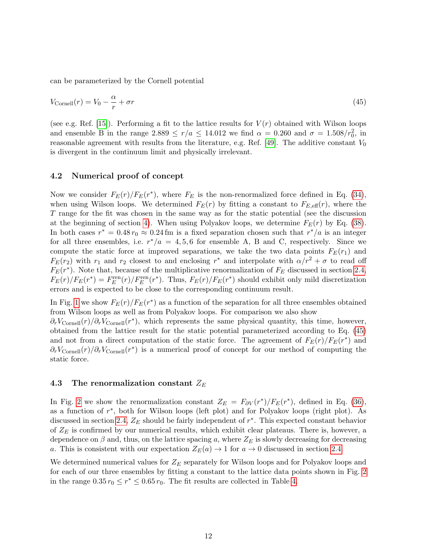can be parameterized by the Cornell potential

<span id="page-12-0"></span>
$$
V_{\text{Cornell}}(r) = V_0 - \frac{\alpha}{r} + \sigma r \tag{45}
$$

(see e.g. Ref. [\[15\]](#page-19-13)). Performing a fit to the lattice results for  $V(r)$  obtained with Wilson loops and ensemble B in the range  $2.889 \le r/a \le 14.012$  we find  $\alpha = 0.260$  and  $\sigma = 1.508/r_0^2$ , in reasonable agreement with results from the literature, e.g. Ref. [\[49\]](#page-21-4). The additive constant  $V_0$ is divergent in the continuum limit and physically irrelevant.

#### 4.2 Numerical proof of concept

Now we consider  $F_E(r)/F_E(r^*)$ , where  $F_E$  is the non-renormalized force defined in Eq. [\(34\)](#page-7-0), when using Wilson loops. We determined  $F_E(r)$  by fitting a constant to  $F_{E,\text{eff}}(r)$ , where the T range for the fit was chosen in the same way as for the static potential (see the discussion at the beginning of section [4\)](#page-11-0). When using Polyakov loops, we determine  $F_E(r)$  by Eq. [\(38\)](#page-8-1). In both cases  $r^* = 0.48 r_0 \approx 0.24$  fm is a fixed separation chosen such that  $r^*/a$  is an integer for all three ensembles, i.e.  $r^*/a = 4, 5, 6$  for ensemble A, B and C, respectively. Since we compute the static force at improved separations, we take the two data points  $F_E(r_1)$  and  $F_E(r_2)$  with  $r_1$  and  $r_2$  closest to and enclosing  $r^*$  and interpolate with  $\alpha/r^2 + \sigma$  to read off  $F_E(r^*)$ . Note that, because of the multiplicative renormalization of  $F_E$  discussed in section [2.4,](#page-6-2)  $F_E(r)/F_E(r^*) = F_E^{\text{ren}}(r)/F_E^{\text{ren}}(r^*)$ . Thus,  $F_E(r)/F_E(r^*)$  should exhibit only mild discretization errors and is expected to be close to the corresponding continuum result.

In Fig. [1](#page-13-0) we show  $F_E(r)/F_E(r^*)$  as a function of the separation for all three ensembles obtained from Wilson loops as well as from Polyakov loops. For comparison we also show  $\partial_r V_{\text{Cornell}}(r)/\partial_r V_{\text{Cornell}}(r^*)$ , which represents the same physical quantity, this time, however, obtained from the lattice result for the static potential parameterized according to Eq. [\(45\)](#page-12-0) and not from a direct computation of the static force. The agreement of  $F_E(r)/F_E(r^*)$  and  $\partial_r V_{\text{Cornell}}(r)/\partial_r V_{\text{Cornell}}(r^*)$  is a numerical proof of concept for our method of computing the static force.

## 4.3 The renormalization constant  $Z_E$

In Fig. [2](#page-14-0) we show the renormalization constant  $Z_E = F_{\partial V}(r^*)/F_E(r^*)$ , defined in Eq. [\(36\)](#page-8-2), as a function of r ∗ , both for Wilson loops (left plot) and for Polyakov loops (right plot). As discussed in section [2.4,](#page-6-2)  $Z_E$  should be fairly independent of  $r^*$ . This expected constant behavior of  $Z_E$  is confirmed by our numerical results, which exhibit clear plateaus. There is, however, a dependence on  $\beta$  and, thus, on the lattice spacing a, where  $Z_E$  is slowly decreasing for decreasing a. This is consistent with our expectation  $Z_E(a) \to 1$  for  $a \to 0$  discussed in section [2.4.](#page-6-2)

We determined numerical values for  $Z_E$  separately for Wilson loops and for Polyakov loops and for each of our three ensembles by fitting a constant to the lattice data points shown in Fig. [2](#page-14-0) in the range  $0.35 r_0 \le r^* \le 0.65 r_0$ . The fit results are collected in Table [4.](#page-13-1)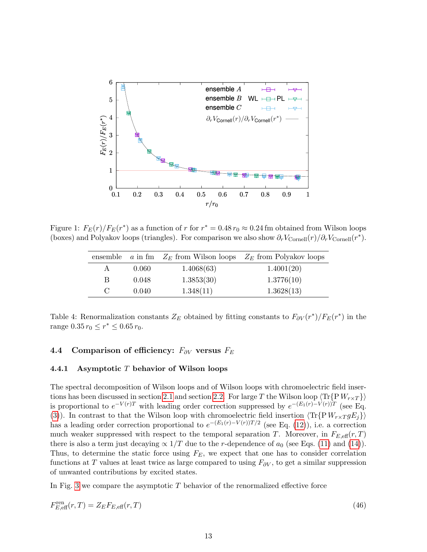<span id="page-13-0"></span>

<span id="page-13-1"></span>Figure 1:  $F_E(r)/F_E(r^*)$  as a function of r for  $r^* = 0.48 r_0 \approx 0.24$  fm obtained from Wilson loops (boxes) and Polyakov loops (triangles). For comparison we also show  $\partial_r V_{\text{Cornell}}(r)/\partial_r V_{\text{Cornell}}(r^*)$ .

|   |       |            | ensemble a in fm $Z_E$ from Wilson loops $Z_E$ from Polyakov loops |
|---|-------|------------|--------------------------------------------------------------------|
|   | 0.060 | 1.4068(63) | 1.4001(20)                                                         |
| B | 0.048 | 1.3853(30) | 1.3776(10)                                                         |
|   | 0.040 | 1.348(11)  | 1.3628(13)                                                         |

Table 4: Renormalization constants  $Z_E$  obtained by fitting constants to  $F_{\partial V}(r^*)/F_E(r^*)$  in the range  $0.35 r_0 \leq r^* \leq 0.65 r_0$ .

## 4.4 Comparison of efficiency:  $F_{\partial V}$  versus  $F_E$

## <span id="page-13-2"></span>4.4.1 Asymptotic  $T$  behavior of Wilson loops

The spectral decomposition of Wilson loops and of Wilson loops with chromoelectric field inser-tions has been discussed in section [2.1](#page-2-2) and section [2.2.](#page-3-3) For large T the Wilson loop  $\langle \text{Tr}\{\text{P} W_{r \times T}\}\rangle$ is proportional to  $e^{-V(r)T}$  with leading order correction suppressed by  $e^{-(E_1(r)-V(r))T}$  (see Eq. [\(3\)](#page-2-1)). In contrast to that the Wilson loop with chromoelectric field insertion  $\langle \text{Tr}\{ \text{P} W_{r \times T} g E_j \} \rangle$ has a leading order correction proportional to  $e^{-(E_1(r)-V(r))T/2}$  (see Eq. [\(12\)](#page-4-2)), i.e. a correction much weaker suppressed with respect to the temporal separation T. Moreover, in  $F_{E,\text{eff}}(r,T)$ there is also a term just decaying  $\propto 1/T$  due to the r-dependence of  $a_0$  (see Eqs. [\(11\)](#page-4-0) and [\(14\)](#page-4-1)). Thus, to determine the static force using  $F_E$ , we expect that one has to consider correlation functions at T values at least twice as large compared to using  $F_{\partial V}$ , to get a similar suppression of unwanted contributions by excited states.

In Fig. [3](#page-14-1) we compare the asymptotic  $T$  behavior of the renormalized effective force

$$
F_{E,\text{eff}}^{\text{ren}}(r,T) = Z_E F_{E,\text{eff}}(r,T) \tag{46}
$$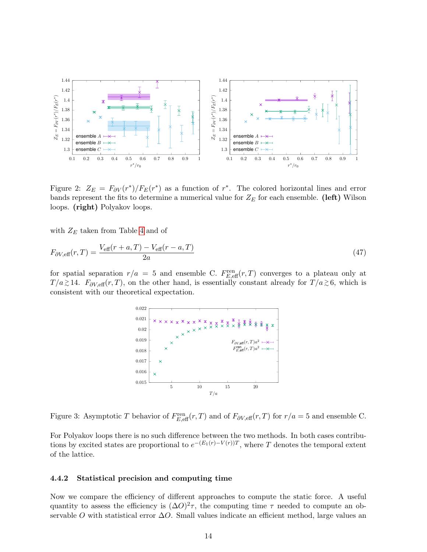<span id="page-14-0"></span>

Figure 2:  $Z_E = F_{\partial V}(r^*)/F_E(r^*)$  as a function of  $r^*$ . The colored horizontal lines and error bands represent the fits to determine a numerical value for  $Z_E$  for each ensemble. (left) Wilson loops. (right) Polyakov loops.

with  $Z_E$  taken from Table [4](#page-13-1) and of

$$
F_{\partial V, \text{eff}}(r,T) = \frac{V_{\text{eff}}(r+a,T) - V_{\text{eff}}(r-a,T)}{2a} \tag{47}
$$

<span id="page-14-1"></span>for spatial separation  $r/a = 5$  and ensemble C.  $F_{E, \text{eff}}^{\text{ren}}(r, T)$  converges to a plateau only at  $T/a \gtrsim 14$ .  $F_{\partial V, \text{eff}}(r, T)$ , on the other hand, is essentially constant already for  $T/a \gtrsim 6$ , which is consistent with our theoretical expectation.



Figure 3: Asymptotic T behavior of  $F_{E,\text{eff}}^{\text{ren}}(r,T)$  and of  $F_{\partial V,\text{eff}}(r,T)$  for  $r/a = 5$  and ensemble C.

For Polyakov loops there is no such difference between the two methods. In both cases contributions by excited states are proportional to  $e^{-(E_1(r)-V(r))T}$ , where T denotes the temporal extent of the lattice.

## 4.4.2 Statistical precision and computing time

Now we compare the efficiency of different approaches to compute the static force. A useful quantity to assess the efficiency is  $(\Delta O)^2 \tau$ , the computing time  $\tau$  needed to compute an observable O with statistical error  $\Delta$ O. Small values indicate an efficient method, large values an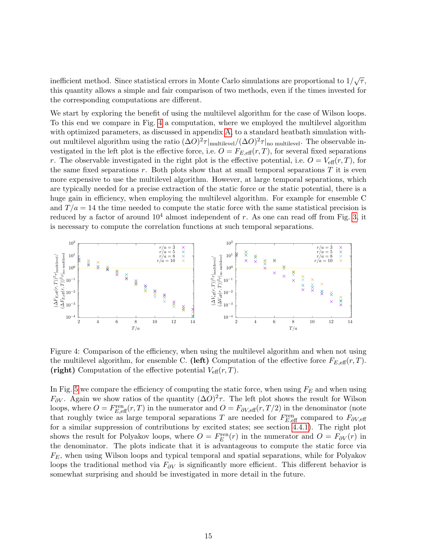inefficient method. Since statistical errors in Monte Carlo simulations are proportional to  $1/\sqrt{\tau}$ , this quantity allows a simple and fair comparison of two methods, even if the times invested for the corresponding computations are different.

We start by exploring the benefit of using the multilevel algorithm for the case of Wilson loops. To this end we compare in Fig. [4](#page-15-0) a computation, where we employed the multilevel algorithm with optimized parameters, as discussed in appendix [A,](#page-17-5) to a standard heatbath simulation without multilevel algorithm using the ratio  $(\Delta O)^2 \tau |_{\text{multilevel}} / (\Delta O)^2 \tau |_{\text{no multilevel}}$ . The observable investigated in the left plot is the effective force, i.e.  $O = F_{E,\text{eff}}(r,T)$ , for several fixed separations r. The observable investigated in the right plot is the effective potential, i.e.  $O = V_{\text{eff}}(r, T)$ , for the same fixed separations  $r$ . Both plots show that at small temporal separations  $T$  it is even more expensive to use the multilevel algorithm. However, at large temporal separations, which are typically needed for a precise extraction of the static force or the static potential, there is a huge gain in efficiency, when employing the multilevel algorithm. For example for ensemble C and  $T/a = 14$  the time needed to compute the static force with the same statistical precision is reduced by a factor of around  $10^4$  almost independent of r. As one can read off from Fig. [3,](#page-14-1) it is necessary to compute the correlation functions at such temporal separations.

<span id="page-15-0"></span>

Figure 4: Comparison of the efficiency, when using the multilevel algorithm and when not using the multilevel algorithm, for ensemble C. (left) Computation of the effective force  $F_{E,\text{eff}}(r,T)$ . (right) Computation of the effective potential  $V_{\text{eff}}(r,T)$ .

In Fig. [5](#page-16-1) we compare the efficiency of computing the static force, when using  $F_E$  and when using  $F_{\partial V}$ . Again we show ratios of the quantity  $(\Delta O)^2 \tau$ . The left plot shows the result for Wilson loops, where  $O = F_{E, \text{eff}}^{\text{ren}}(r, T)$  in the numerator and  $O = F_{\partial V, \text{eff}}(r, T/2)$  in the denominator (note that roughly twice as large temporal separations T are needed for  $F_{E, \text{eff}}^{\text{ren}}$  compared to  $F_{\partial V, \text{eff}}$ for a similar suppression of contributions by excited states; see section [4.4.1\)](#page-13-2). The right plot shows the result for Polyakov loops, where  $O = F_E^{\text{ren}}(r)$  in the numerator and  $O = F_{\partial V}(r)$  in the denominator. The plots indicate that it is advantageous to compute the static force via  $F_E$ , when using Wilson loops and typical temporal and spatial separations, while for Polyakov loops the traditional method via  $F_{\partial V}$  is significantly more efficient. This different behavior is somewhat surprising and should be investigated in more detail in the future.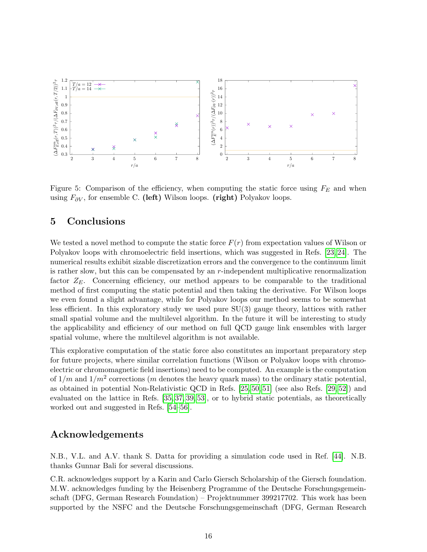<span id="page-16-1"></span>

Figure 5: Comparison of the efficiency, when computing the static force using  $F_E$  and when using  $F_{\partial V}$ , for ensemble C. (left) Wilson loops. (right) Polyakov loops.

# <span id="page-16-0"></span>5 Conclusions

We tested a novel method to compute the static force  $F(r)$  from expectation values of Wilson or Polyakov loops with chromoelectric field insertions, which was suggested in Refs. [\[23,](#page-19-8) [24\]](#page-19-9). The numerical results exhibit sizable discretization errors and the convergence to the continuum limit is rather slow, but this can be compensated by an r-independent multiplicative renormalization factor  $Z_E$ . Concerning efficiency, our method appears to be comparable to the traditional method of first computing the static potential and then taking the derivative. For Wilson loops we even found a slight advantage, while for Polyakov loops our method seems to be somewhat less efficient. In this exploratory study we used pure SU(3) gauge theory, lattices with rather small spatial volume and the multilevel algorithm. In the future it will be interesting to study the applicability and efficiency of our method on full QCD gauge link ensembles with larger spatial volume, where the multilevel algorithm is not available.

This explorative computation of the static force also constitutes an important preparatory step for future projects, where similar correlation functions (Wilson or Polyakov loops with chromoelectric or chromomagnetic field insertions) need to be computed. An example is the computation of  $1/m$  and  $1/m^2$  corrections (m denotes the heavy quark mass) to the ordinary static potential, as obtained in potential Non-Relativistic QCD in Refs. [\[25,](#page-19-10) [50,](#page-21-5) [51\]](#page-21-6) (see also Refs. [\[29,](#page-20-1) [52\]](#page-21-7)) and evaluated on the lattice in Refs. [\[35,](#page-20-6) [37,](#page-20-7) [39,](#page-20-10) [53\]](#page-21-8), or to hybrid static potentials, as theoretically worked out and suggested in Refs. [\[54](#page-21-9)[–56\]](#page-21-10).

## Acknowledgements

N.B., V.L. and A.V. thank S. Datta for providing a simulation code used in Ref. [\[44\]](#page-20-15). N.B. thanks Gunnar Bali for several discussions.

C.R. acknowledges support by a Karin and Carlo Giersch Scholarship of the Giersch foundation. M.W. acknowledges funding by the Heisenberg Programme of the Deutsche Forschungsgemeinschaft (DFG, German Research Foundation) – Projektnummer 399217702. This work has been supported by the NSFC and the Deutsche Forschungsgemeinschaft (DFG, German Research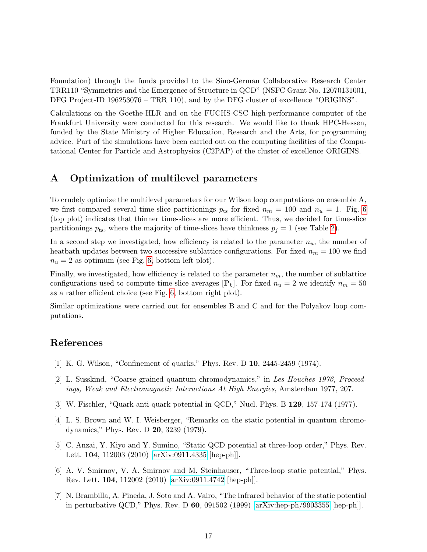Foundation) through the funds provided to the Sino-German Collaborative Research Center TRR110 "Symmetries and the Emergence of Structure in QCD" (NSFC Grant No. 12070131001, DFG Project-ID 196253076 – TRR 110), and by the DFG cluster of excellence "ORIGINS".

Calculations on the Goethe-HLR and on the FUCHS-CSC high-performance computer of the Frankfurt University were conducted for this research. We would like to thank HPC-Hessen, funded by the State Ministry of Higher Education, Research and the Arts, for programming advice. Part of the simulations have been carried out on the computing facilities of the Computational Center for Particle and Astrophysics (C2PAP) of the cluster of excellence ORIGINS.

# <span id="page-17-5"></span>A Optimization of multilevel parameters

To crudely optimize the multilevel parameters for our Wilson loop computations on ensemble A, we first compared several time-slice partitionings  $p_{ts}$  for fixed  $n_m = 100$  and  $n_u = 1$ . Fig. [6](#page-18-4) (top plot) indicates that thinner time-slices are more efficient. Thus, we decided for time-slice partitionings  $p_{ts}$ , where the majority of time-slices have thinkness  $p_j = 1$  (see Table [2\)](#page-10-0).

In a second step we investigated, how efficiency is related to the parameter  $n_u$ , the number of heatbath updates between two successive sublattice configurations. For fixed  $n_m = 100$  we find  $n_u = 2$  as optimum (see Fig. [6,](#page-18-4) bottom left plot).

Finally, we investigated, how efficiency is related to the parameter  $n_m$ , the number of sublattice configurations used to compute time-slice averages  $[\mathbb{P}_k]$ . For fixed  $n_u = 2$  we identify  $n_m = 50$ as a rather efficient choice (see Fig. [6,](#page-18-4) bottom right plot).

Similar optimizations were carried out for ensembles B and C and for the Polyakov loop computations.

# References

- <span id="page-17-0"></span>[1] K. G. Wilson, "Confinement of quarks," Phys. Rev. D 10, 2445-2459 (1974).
- [2] L. Susskind, "Coarse grained quantum chromodynamics," in Les Houches 1976, Proceedings, Weak and Electromagnetic Interactions At High Energies, Amsterdam 1977, 207.
- [3] W. Fischler, "Quark-anti-quark potential in QCD," Nucl. Phys. B 129, 157-174 (1977).
- <span id="page-17-1"></span>[4] L. S. Brown and W. I. Weisberger, "Remarks on the static potential in quantum chromodynamics," Phys. Rev. D 20, 3239 (1979).
- <span id="page-17-2"></span>[5] C. Anzai, Y. Kiyo and Y. Sumino, "Static QCD potential at three-loop order," Phys. Rev. Lett. 104, 112003 (2010) [\[arXiv:0911.4335](http://arxiv.org/abs/0911.4335) [hep-ph]].
- <span id="page-17-3"></span>[6] A. V. Smirnov, V. A. Smirnov and M. Steinhauser, "Three-loop static potential," Phys. Rev. Lett. 104, 112002 (2010) [\[arXiv:0911.4742](http://arxiv.org/abs/0911.4742) [hep-ph]].
- <span id="page-17-4"></span>[7] N. Brambilla, A. Pineda, J. Soto and A. Vairo, "The Infrared behavior of the static potential in perturbative QCD," Phys. Rev. D 60, 091502 (1999) [\[arXiv:hep-ph/9903355](http://arxiv.org/abs/hep-ph/9903355) [hep-ph]].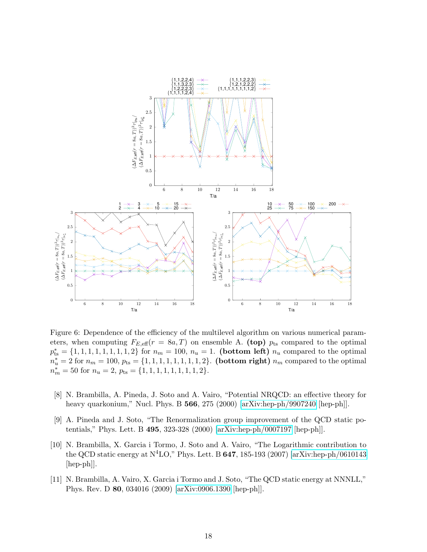<span id="page-18-4"></span>

Figure 6: Dependence of the efficiency of the multilevel algorithm on various numerical parameters, when computing  $F_{E,\text{eff}}(r = 8a, T)$  on ensemble A. (top)  $p_{ts}$  compared to the optimal  $p_{ts}^* = \{1, 1, 1, 1, 1, 1, 1, 1, 2\}$  for  $n_m = 100$ ,  $n_u = 1$ . (bottom left)  $n_u$  compared to the optimal  $n_u^* = 2$  for  $n_m = 100$ ,  $p_{ts} = \{1, 1, 1, 1, 1, 1, 1, 2\}$ . (bottom right)  $n_m$  compared to the optimal  $n_m^* = 50$  for  $n_u = 2$ ,  $p_{ts} = \{1, 1, 1, 1, 1, 1, 1, 1, 2\}.$ 

- <span id="page-18-0"></span>[8] N. Brambilla, A. Pineda, J. Soto and A. Vairo, "Potential NRQCD: an effective theory for heavy quarkonium," Nucl. Phys. B 566, 275 (2000) [\[arXiv:hep-ph/9907240](http://arxiv.org/abs/hep-ph/9907240) [hep-ph]].
- <span id="page-18-1"></span>[9] A. Pineda and J. Soto, "The Renormalization group improvement of the QCD static potentials," Phys. Lett. B 495, 323-328 (2000) [\[arXiv:hep-ph/0007197](http://arxiv.org/abs/hep-ph/0007197) [hep-ph]].
- <span id="page-18-2"></span>[10] N. Brambilla, X. Garcia i Tormo, J. Soto and A. Vairo, "The Logarithmic contribution to the QCD static energy at  $\rm N^4LO$ ," Phys. Lett. B 647, 185-193 (2007) [\[arXiv:hep-ph/0610143](http://arxiv.org/abs/hep-ph/0610143) [hep-ph]].
- <span id="page-18-3"></span>[11] N. Brambilla, A. Vairo, X. Garcia i Tormo and J. Soto, "The QCD static energy at NNNLL," Phys. Rev. D 80, 034016 (2009) [\[arXiv:0906.1390](http://arxiv.org/abs/0906.1390) [hep-ph]].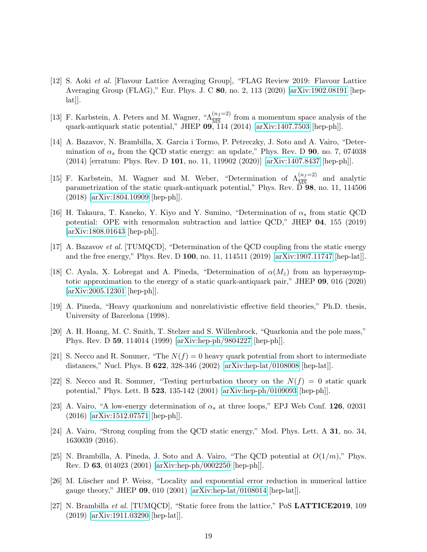- <span id="page-19-0"></span>[12] S. Aoki et al. [Flavour Lattice Averaging Group], "FLAG Review 2019: Flavour Lattice Averaging Group (FLAG)," Eur. Phys. J. C 80, no. 2, 113 (2020) [\[arXiv:1902.08191](http://arxiv.org/abs/1902.08191) [hep- $[lat]$ .
- <span id="page-19-1"></span>[13] F. Karbstein, A. Peters and M. Wagner, " $\Lambda_{\overline{\text{MS}}}^{(n_f=2)}$  from a momentum space analysis of the quark-antiquark static potential," JHEP 09, 114 (2014) [\[arXiv:1407.7503](http://arxiv.org/abs/1407.7503) [hep-ph]].
- <span id="page-19-7"></span>[14] A. Bazavov, N. Brambilla, X. Garcia i Tormo, P. Petreczky, J. Soto and A. Vairo, "Determination of  $\alpha_s$  from the QCD static energy: an update," Phys. Rev. D 90, no. 7, 074038 (2014) [erratum: Phys. Rev. D 101, no. 11, 119902 (2020)] [\[arXiv:1407.8437](http://arxiv.org/abs/1407.8437) [hep-ph]].
- <span id="page-19-13"></span>[15] F. Karbstein, M. Wagner and M. Weber, "Determination of  $\Lambda_{\overline{MS}}^{(n_f=2)}$  and analytic parametrization of the static quark-antiquark potential," Phys. Rev. D 98, no. 11, 114506 (2018) [\[arXiv:1804.10909](http://arxiv.org/abs/1804.10909) [hep-ph]].
- [16] H. Takaura, T. Kaneko, Y. Kiyo and Y. Sumino, "Determination of  $\alpha_s$  from static QCD potential: OPE with renormalon subtraction and lattice QCD," JHEP 04, 155 (2019) [\[arXiv:1808.01643](http://arxiv.org/abs/1808.01643) [hep-ph]].
- [17] A. Bazavov et al. [TUMQCD], "Determination of the QCD coupling from the static energy and the free energy," Phys. Rev. D 100, no. 11, 114511 (2019) [\[arXiv:1907.11747](http://arxiv.org/abs/1907.11747) [hep-lat]].
- <span id="page-19-2"></span>[18] C. Ayala, X. Lobregat and A. Pineda, "Determination of  $\alpha(M_z)$  from an hyperasymptotic approximation to the energy of a static quark-antiquark pair," JHEP 09, 016 (2020) [\[arXiv:2005.12301](http://arxiv.org/abs/2005.12301) [hep-ph]].
- <span id="page-19-3"></span>[19] A. Pineda, "Heavy quarkonium and nonrelativistic effective field theories," Ph.D. thesis, University of Barcelona (1998).
- <span id="page-19-4"></span>[20] A. H. Hoang, M. C. Smith, T. Stelzer and S. Willenbrock, "Quarkonia and the pole mass," Phys. Rev. D 59, 114014 (1999) [\[arXiv:hep-ph/9804227](http://arxiv.org/abs/hep-ph/9804227) [hep-ph]].
- <span id="page-19-5"></span>[21] S. Necco and R. Sommer, "The  $N(f) = 0$  heavy quark potential from short to intermediate distances," Nucl. Phys. B 622, 328-346 (2002) [\[arXiv:hep-lat/0108008](http://arxiv.org/abs/hep-lat/0108008) [hep-lat]].
- <span id="page-19-6"></span>[22] S. Necco and R. Sommer, "Testing perturbation theory on the  $N(f) = 0$  static quark potential," Phys. Lett. B 523, 135-142 (2001) [\[arXiv:hep-ph/0109093](http://arxiv.org/abs/hep-ph/0109093) [hep-ph]].
- <span id="page-19-8"></span>[23] A. Vairo, "A low-energy determination of  $\alpha_s$  at three loops," EPJ Web Conf. 126, 02031 (2016) [\[arXiv:1512.07571](http://arxiv.org/abs/1512.07571) [hep-ph]].
- <span id="page-19-9"></span>[24] A. Vairo, "Strong coupling from the QCD static energy," Mod. Phys. Lett. A 31, no. 34, 1630039 (2016).
- <span id="page-19-10"></span>[25] N. Brambilla, A. Pineda, J. Soto and A. Vairo, "The QCD potential at  $O(1/m)$ ," Phys. Rev. D 63, 014023 (2001) [\[arXiv:hep-ph/0002250](http://arxiv.org/abs/hep-ph/0002250) [hep-ph]].
- <span id="page-19-11"></span>[26] M. Lüscher and P. Weisz, "Locality and exponential error reduction in numerical lattice gauge theory," JHEP 09, 010 (2001) [\[arXiv:hep-lat/0108014](http://arxiv.org/abs/hep-lat/0108014) [hep-lat]].
- <span id="page-19-12"></span>[27] N. Brambilla et al. [TUMQCD], "Static force from the lattice," PoS LATTICE2019, 109 (2019) [\[arXiv:1911.03290](http://arxiv.org/abs/1911.03290) [hep-lat]].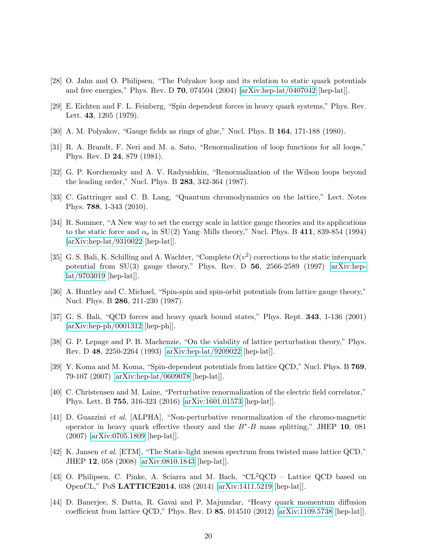- <span id="page-20-0"></span>[28] O. Jahn and O. Philipsen, "The Polyakov loop and its relation to static quark potentials and free energies," Phys. Rev. D  $70$ , 074504 (2004) [\[arXiv:hep-lat/0407042](http://arxiv.org/abs/hep-lat/0407042) [hep-lat]].
- <span id="page-20-1"></span>[29] E. Eichten and F. L. Feinberg, "Spin dependent forces in heavy quark systems," Phys. Rev. Lett. 43, 1205 (1979).
- <span id="page-20-2"></span>[30] A. M. Polyakov, "Gauge fields as rings of glue," Nucl. Phys. B 164, 171-188 (1980).
- [31] R. A. Brandt, F. Neri and M. a. Sato, "Renormalization of loop functions for all loops," Phys. Rev. D 24, 879 (1981).
- <span id="page-20-3"></span>[32] G. P. Korchemsky and A. V. Radyushkin, "Renormalization of the Wilson loops beyond the leading order," Nucl. Phys. B 283, 342-364 (1987).
- <span id="page-20-4"></span>[33] C. Gattringer and C. B. Lang, "Quantum chromodynamics on the lattice," Lect. Notes Phys. 788, 1-343 (2010).
- <span id="page-20-5"></span>[34] R. Sommer, "A New way to set the energy scale in lattice gauge theories and its applications to the static force and  $\alpha_s$  in SU(2) Yang–Mills theory," Nucl. Phys. B 411, 839-854 (1994) [\[arXiv:hep-lat/9310022](http://arxiv.org/abs/hep-lat/9310022) [hep-lat]].
- <span id="page-20-6"></span>[35] G. S. Bali, K. Schilling and A. Wachter, "Complete  $O(v^2)$  corrections to the static interquark potential from  $SU(3)$  gauge theory," Phys. Rev. D 56, 2566-2589 (1997) [\[arXiv:hep](http://arxiv.org/abs/hep-lat/9703019)[lat/9703019](http://arxiv.org/abs/hep-lat/9703019) [hep-lat]].
- <span id="page-20-9"></span>[36] A. Huntley and C. Michael, "Spin-spin and spin-orbit potentials from lattice gauge theory," Nucl. Phys. B 286, 211-230 (1987).
- <span id="page-20-7"></span>[37] G. S. Bali, "QCD forces and heavy quark bound states," Phys. Rept. 343, 1-136 (2001) [\[arXiv:hep-ph/0001312](http://arxiv.org/abs/hep-ph/0001312) [hep-ph]].
- <span id="page-20-8"></span>[38] G. P. Lepage and P. B. Mackenzie, "On the viability of lattice perturbation theory," Phys. Rev. D 48, 2250-2264 (1993) [\[arXiv:hep-lat/9209022](http://arxiv.org/abs/hep-lat/9209022) [hep-lat]].
- <span id="page-20-10"></span>[39] Y. Koma and M. Koma, "Spin-dependent potentials from lattice QCD," Nucl. Phys. B 769, 79-107 (2007) [\[arXiv:hep-lat/0609078](http://arxiv.org/abs/hep-lat/0609078) [hep-lat]].
- <span id="page-20-11"></span>[40] C. Christensen and M. Laine, "Perturbative renormalization of the electric field correlator," Phys. Lett. B 755, 316-323 (2016) [\[arXiv:1601.01573](http://arxiv.org/abs/1601.01573) [hep-lat]].
- <span id="page-20-12"></span>[41] D. Guazzini et al. [ALPHA], "Non-perturbative renormalization of the chromo-magnetic operator in heavy quark effective theory and the  $B^*$ - $B$  mass splitting," JHEP 10, 081 (2007) [\[arXiv:0705.1809](http://arxiv.org/abs/0705.1809) [hep-lat]].
- <span id="page-20-13"></span>[42] K. Jansen et al. [ETM], "The Static-light meson spectrum from twisted mass lattice QCD," JHEP 12, 058 (2008) [\[arXiv:0810.1843](http://arxiv.org/abs/0810.1843) [hep-lat]].
- <span id="page-20-14"></span>[43] O. Philipsen, C. Pinke, A. Sciarra and M. Bach, "CL2QCD – Lattice QCD based on OpenCL," PoS LATTICE2014, 038 (2014) [\[arXiv:1411.5219](http://arxiv.org/abs/1411.5219) [hep-lat]].
- <span id="page-20-15"></span>[44] D. Banerjee, S. Datta, R. Gavai and P. Majumdar, "Heavy quark momentum diffusion coefficient from lattice QCD," Phys. Rev. D  $85$ , 014510 (2012) [\[arXiv:1109.5738](http://arxiv.org/abs/1109.5738) [hep-lat]].